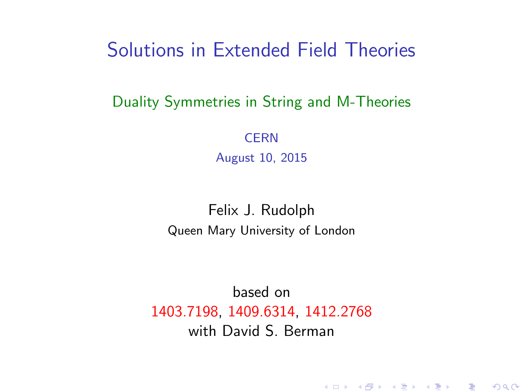### Solutions in Extended Field Theories

#### Duality Symmetries in String and M-Theories

**CERN** August 10, 2015

#### Felix J. Rudolph Queen Mary University of London

<span id="page-0-0"></span>based on 1403.7198, 1409.6314, 1412.2768 with David S. Berman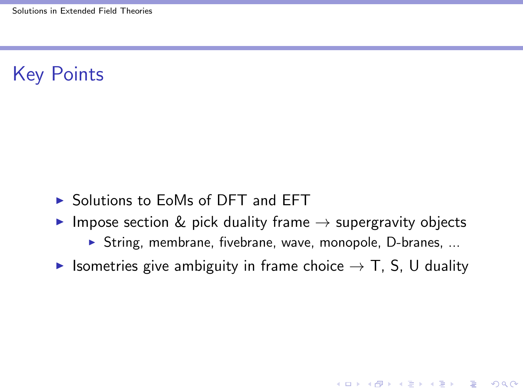## Key Points

- $\triangleright$  Solutions to EoMs of DFT and EFT
- Impose section & pick duality frame  $\rightarrow$  supergravity objects
	- $\triangleright$  String, membrane, fivebrane, wave, monopole, D-branes, ...

**KORK ERKER ADE YOUR** 

 $\triangleright$  Isometries give ambiguity in frame choice  $\rightarrow$  T, S, U duality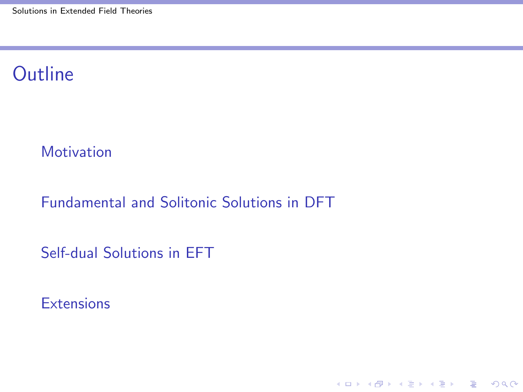## **Outline**

**[Motivation](#page-3-0)** 

[Fundamental and Solitonic Solutions in DFT](#page-5-0)

[Self-dual Solutions in EFT](#page-19-0)

**[Extensions](#page-31-0)** 

K ロ ▶ K @ ▶ K 할 ▶ K 할 ▶ | 할 | © 9 Q @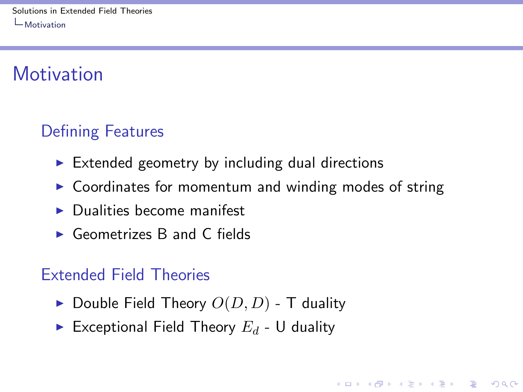# **Motivation**

## Defining Features

- $\triangleright$  Extended geometry by including dual directions
- $\triangleright$  Coordinates for momentum and winding modes of string

**KORK ERKER ADE YOUR** 

- $\blacktriangleright$  Dualities become manifest
- $\triangleright$  Geometrizes B and C fields

#### Extended Field Theories

- $\blacktriangleright$  Double Field Theory  $O(D, D)$  T duality
- <span id="page-3-0"></span>Exceptional Field Theory  $E_d$  - U duality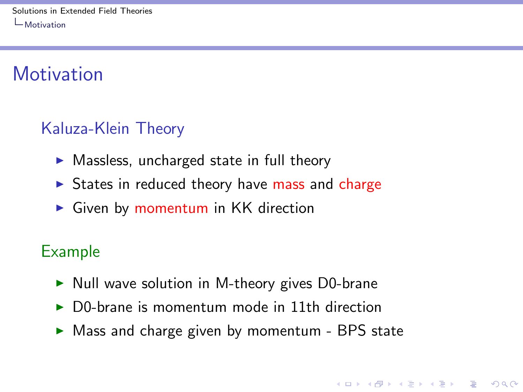# **Motivation**

## Kaluza-Klein Theory

- $\triangleright$  Massless, uncharged state in full theory
- $\triangleright$  States in reduced theory have mass and charge
- $\triangleright$  Given by momentum in KK direction

### Example

- $\triangleright$  Null wave solution in M-theory gives D0-brane
- $\triangleright$  D0-brane is momentum mode in 11th direction
- <span id="page-4-0"></span> $\triangleright$  Mass and charge given by momentum - BPS state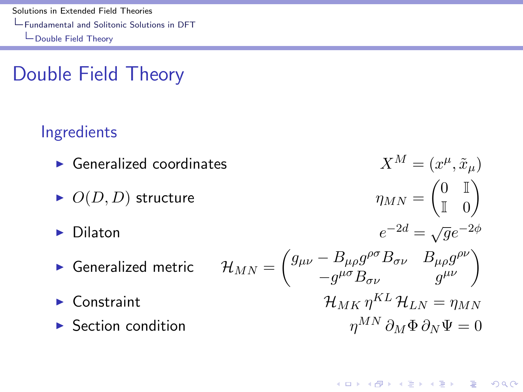[Solutions in Extended Field Theories](#page-0-0) [Fundamental and Solitonic Solutions in DFT](#page-5-0) [Double Field Theory](#page-5-0)

# Double Field Theory

### Ingredients

<span id="page-5-0"></span> $\blacktriangleright$  Generalized coordinates  $(\mu, \tilde{x}_\mu)$  $O(D, D)$  structure  $\begin{pmatrix} 0 & \mathbb{I} \end{pmatrix}$  $\mathbb{I}$  0  $\setminus$  $\blacktriangleright$  Dilaton e  $^{-2d} = \sqrt{g}e^{-2\phi}$  $\blacktriangleright$  Generalized metric  $\int g_{\mu\nu} - B_{\mu\rho} g^{\rho\sigma} B_{\sigma\nu}$   $B_{\mu\rho} g^{\rho\nu}$  $-\frac{B_{\mu\rho}g^{\rho\sigma}B_{\sigma\nu}}{-g^{\mu\sigma}B_{\sigma\nu}}\left(\begin{array}{cc} B_{\mu\rho}g^{\rho\nu} \\ g^{\mu\nu} \end{array}\right)$  $\blacktriangleright$  Constraint  $\mathcal{H}_{MK} n^{KL} \mathcal{H}_{LN} = n_{MN}$ **I** Section condition  $n^{MN} \partial_M \Phi \partial_N \Psi = 0$ 

4 0 > 4 4 + 4 3 + 4 3 + 5 + 9 4 0 +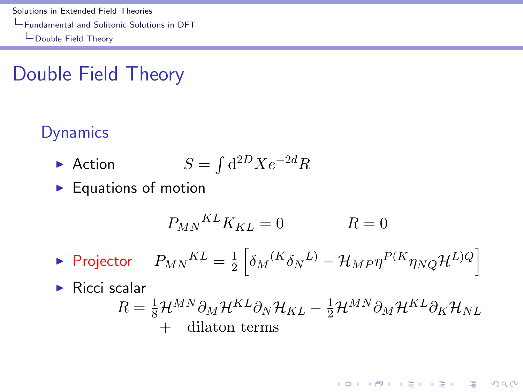[Solutions in Extended Field Theories](#page-0-0) [Fundamental and Solitonic Solutions in DFT](#page-6-0) [Double Field Theory](#page-6-0)

# Double Field Theory

### **Dynamics**

- $\blacktriangleright$  Action  $\int d^{2D}Xe^{-2d}R$
- $\blacktriangleright$  Equations of motion

$$
P_{MN}{}^{KL}K_{KL} = 0 \qquad R = 0
$$

 $\blacktriangleright$  Projector  $P_{MN}{}^{KL} = \frac{1}{2}$  $\frac{1}{2} \left[\delta_{M}{}^{(K}\delta_{N}{}^{L)} - \mathcal{H}_{MP} \eta^{P(K} \eta_{NQ} \mathcal{H}^{L)Q} \right]$ 

<span id="page-6-0"></span> $\blacktriangleright$  Ricci scalar

$$
R = \frac{1}{8} \mathcal{H}^{MN} \partial_M \mathcal{H}^{KL} \partial_N \mathcal{H}_{KL} - \frac{1}{2} \mathcal{H}^{MN} \partial_M \mathcal{H}^{KL} \partial_K \mathcal{H}_{NL}
$$
  
+ dilaton terms

4 0 > 4 4 + 4 3 + 4 3 + 5 + 9 4 0 +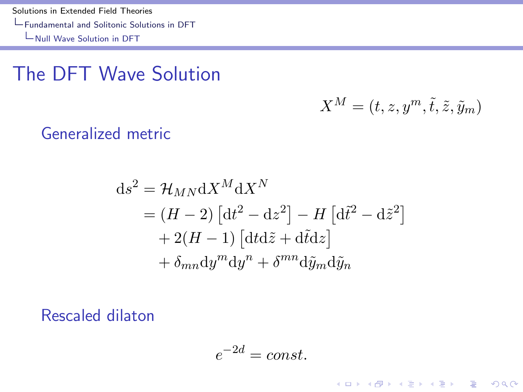[Solutions in Extended Field Theories](#page-0-0) [Fundamental and Solitonic Solutions in DFT](#page-7-0) [Null Wave Solution in DFT](#page-7-0)

## The DFT Wave Solution

$$
X^M = (t, z, y^m, \tilde{t}, \tilde{z}, \tilde{y}_m)
$$

K ロ ▶ K @ ▶ K 할 ▶ K 할 ▶ | 할 | © 9 Q @

Generalized metric

$$
ds^{2} = \mathcal{H}_{MN} dX^{M} dX^{N}
$$
  
=  $(H - 2) [dt^{2} - dz^{2}] - H [d\tilde{t}^{2} - d\tilde{z}^{2}]$   
+  $2(H - 1) [dt d\tilde{z} + d\tilde{t} dz]$   
+  $\delta_{mn} dy^{m} dy^{n} + \delta^{mn} d\tilde{y}_{m} d\tilde{y}_{n}$ 

<span id="page-7-0"></span>Rescaled dilaton

$$
e^{-2d} = const.
$$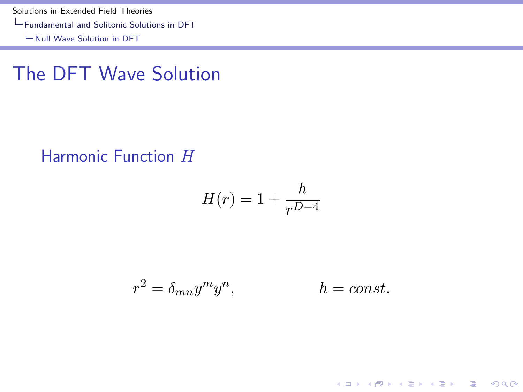[Solutions in Extended Field Theories](#page-0-0) [Fundamental and Solitonic Solutions in DFT](#page-8-0) [Null Wave Solution in DFT](#page-8-0)

The DFT Wave Solution

#### Harmonic Function H

$$
H(r) = 1 + \frac{h}{r^{D-4}}
$$

<span id="page-8-0"></span>
$$
r^2 = \delta_{mn} y^m y^n, \qquad \qquad h = const.
$$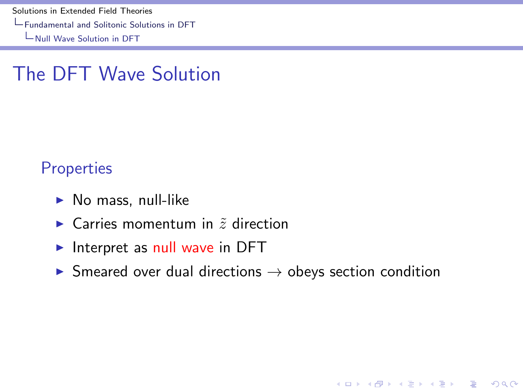[Solutions in Extended Field Theories](#page-0-0)

[Fundamental and Solitonic Solutions in DFT](#page-9-0)

[Null Wave Solution in DFT](#page-9-0)

## The DFT Wave Solution

#### **Properties**

- $\blacktriangleright$  No mass, null-like
- $\triangleright$  Carries momentum in  $\tilde{z}$  direction
- Interpret as null wave in DFT
- <span id="page-9-0"></span> $\triangleright$  Smeared over dual directions  $\rightarrow$  obeys section condition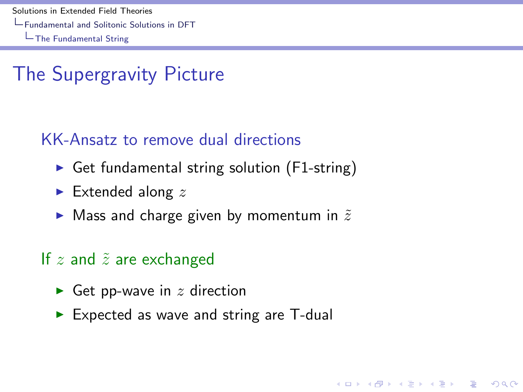[Solutions in Extended Field Theories](#page-0-0) [Fundamental and Solitonic Solutions in DFT](#page-10-0) [The Fundamental String](#page-10-0)

# The Supergravity Picture

#### KK-Ansatz to remove dual directions

- Get fundamental string solution ( $F1$ -string)
- $\blacktriangleright$  Extended along z
- $\blacktriangleright$  Mass and charge given by momentum in  $\tilde{z}$

#### If  $z$  and  $\tilde{z}$  are exchanged

- Get pp-wave in  $z$  direction
- <span id="page-10-0"></span> $\triangleright$  Expected as wave and string are T-dual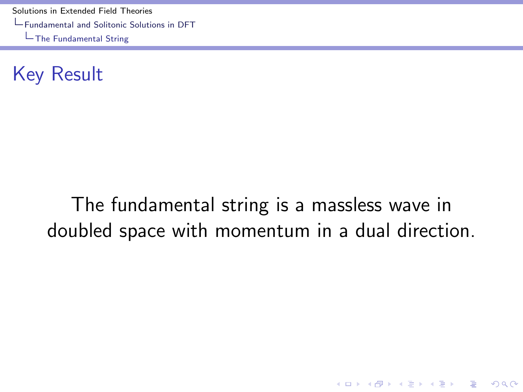[Solutions in Extended Field Theories](#page-0-0) [Fundamental and Solitonic Solutions in DFT](#page-11-0) [The Fundamental String](#page-11-0)

Key Result

# <span id="page-11-0"></span>The fundamental string is a massless wave in doubled space with momentum in a dual direction.

K ロ ▶ K @ ▶ K 할 > K 할 > 1 할 > 1 이익어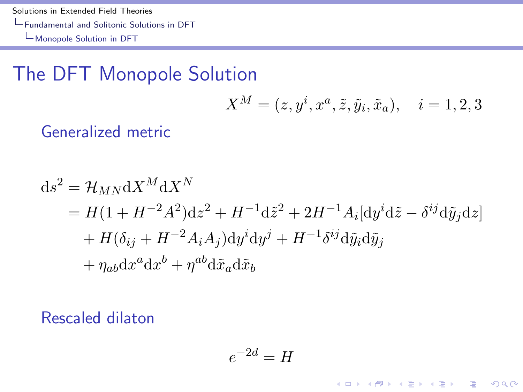[Solutions in Extended Field Theories](#page-0-0) [Fundamental and Solitonic Solutions in DFT](#page-12-0) [Monopole Solution in DFT](#page-12-0)

## The DFT Monopole Solution

$$
X^{M} = (z, y^{i}, x^{a}, \tilde{z}, \tilde{y}_{i}, \tilde{x}_{a}), \quad i = 1, 2, 3
$$

K ロ ▶ K @ ▶ K 할 > K 할 > 1 할 > 1 이익어

Generalized metric

$$
ds^{2} = \mathcal{H}_{MN} dX^{M} dX^{N}
$$
  
=  $H(1 + H^{-2}A^{2})dz^{2} + H^{-1}d\tilde{z}^{2} + 2H^{-1}A_{i}[dy^{i}d\tilde{z} - \delta^{ij}d\tilde{y}_{j}dz]$   
+  $H(\delta_{ij} + H^{-2}A_{i}A_{j})dy^{i}dy^{j} + H^{-1}\delta^{ij}d\tilde{y}_{i}d\tilde{y}_{j}$   
+  $\eta_{ab}dx^{a}dx^{b} + \eta^{ab}d\tilde{x}_{a}d\tilde{x}_{b}$ 

<span id="page-12-0"></span>Rescaled dilaton

$$
e^{-2d} = H
$$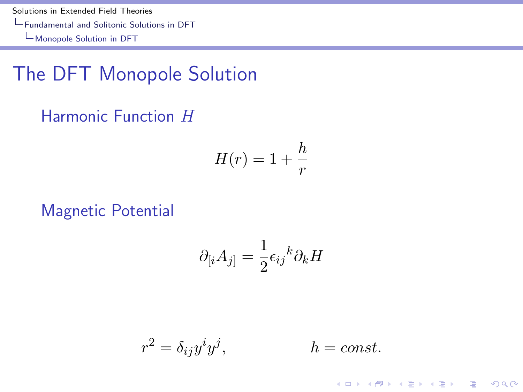[Solutions in Extended Field Theories](#page-0-0) [Fundamental and Solitonic Solutions in DFT](#page-13-0) [Monopole Solution in DFT](#page-13-0)

## The DFT Monopole Solution

#### Harmonic Function H

$$
H(r) = 1 + \frac{h}{r}
$$

Magnetic Potential

$$
\partial_{[i}A_{j]} = \frac{1}{2}\epsilon_{ij}{}^{k}\partial_{k}H
$$

<span id="page-13-0"></span>
$$
r^2 = \delta_{ij} y^i y^j, \qquad h = const.
$$

K ロ ▶ K @ ▶ K 할 > K 할 > 1 할 > 1 이익어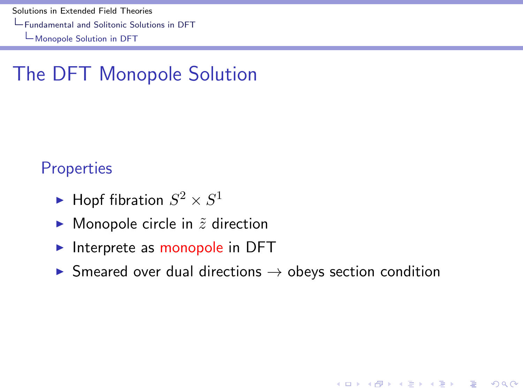[Solutions in Extended Field Theories](#page-0-0)

[Fundamental and Solitonic Solutions in DFT](#page-14-0)

[Monopole Solution in DFT](#page-14-0)

## The DFT Monopole Solution

#### **Properties**

- $\blacktriangleright$  Hopf fibration  $S^2 \times S^1$
- $\blacktriangleright$  Monopole circle in  $\tilde{z}$  direction
- $\triangleright$  Interprete as monopole in DFT
- <span id="page-14-0"></span> $\triangleright$  Smeared over dual directions  $\rightarrow$  obeys section condition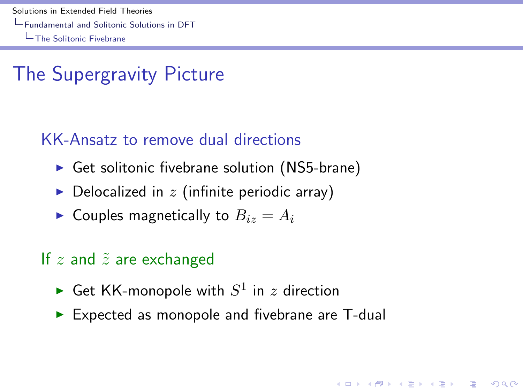# The Supergravity Picture

### KK-Ansatz to remove dual directions

- $\triangleright$  Get solitonic fivebrane solution (NS5-brane)
- $\triangleright$  Delocalized in z (infinite periodic array)
- $\blacktriangleright$  Couples magnetically to  $B_{iz} = A_i$

### If  $z$  and  $\tilde{z}$  are exchanged

- Get KK-monopole with  $S^1$  in  $z$  direction
- <span id="page-15-0"></span> $\triangleright$  Expected as monopole and fivebrane are T-dual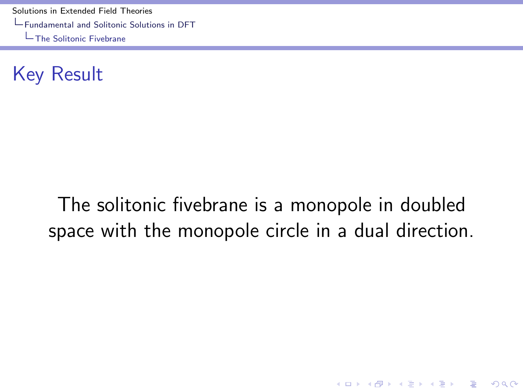[Solutions in Extended Field Theories](#page-0-0) [Fundamental and Solitonic Solutions in DFT](#page-16-0) [The Solitonic Fivebrane](#page-16-0)

Key Result

# <span id="page-16-0"></span>The solitonic fivebrane is a monopole in doubled space with the monopole circle in a dual direction.

**K ロ ▶ K @ ▶ K 할 X X 할 X → 할 X → 9 Q Q ^**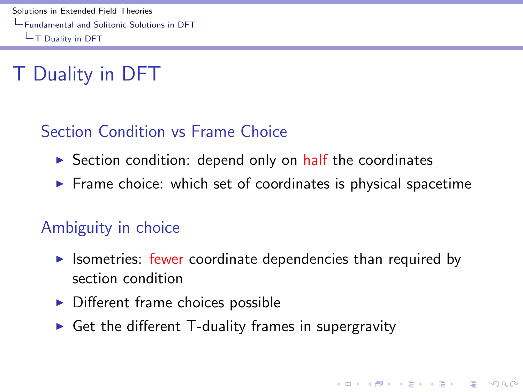# T Duality in DFT

### Section Condition vs Frame Choice

- $\triangleright$  Section condition: depend only on half the coordinates
- $\triangleright$  Frame choice: which set of coordinates is physical spacetime

#### Ambiguity in choice

 $\triangleright$  Isometries: fewer coordinate dependencies than required by section condition

- $\triangleright$  Different frame choices possible
- <span id="page-17-0"></span> $\triangleright$  Get the different T-duality frames in supergravity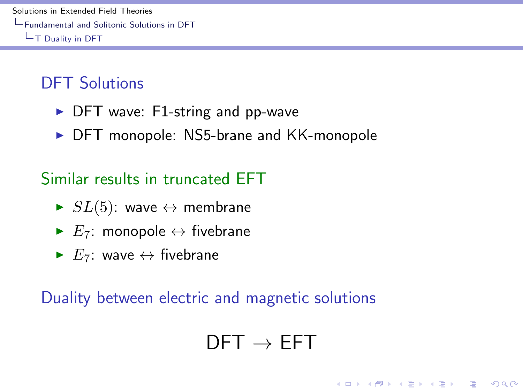### DFT Solutions

- $\triangleright$  DFT wave: F1-string and pp-wave
- $\triangleright$  DFT monopole: NS5-brane and KK-monopole

### Similar results in truncated EFT

- $\blacktriangleright$   $SL(5)$ : wave  $\leftrightarrow$  membrane
- $\blacktriangleright E_7$ : monopole  $\leftrightarrow$  fivebrane
- $\blacktriangleright E_7$ : wave  $\leftrightarrow$  fivebrane

<span id="page-18-0"></span>Duality between electric and magnetic solutions

# $DFT \rightarrow FFT$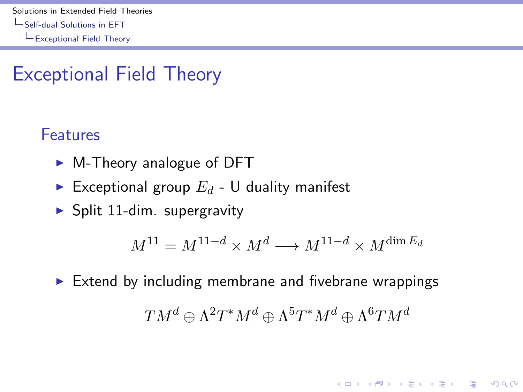## Exceptional Field Theory

#### Features

- $\triangleright$  M-Theory analogue of DFT
- Exceptional group  $E_d$  U duality manifest
- $\blacktriangleright$  Split 11-dim. supergravity

$$
M^{11} = M^{11-d} \times M^d \longrightarrow M^{11-d} \times M^{\dim E_d}
$$

**KORK ERKER ADE YOUR** 

<span id="page-19-0"></span> $\triangleright$  Extend by including membrane and fivebrane wrappings  $T M^d \oplus \Lambda^2 T^* M^d \oplus \Lambda^5 T^* M^d \oplus \Lambda^6 T M^d$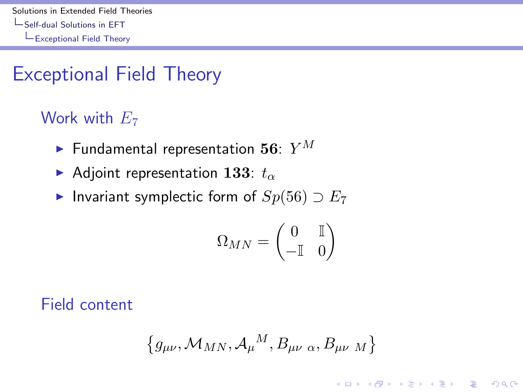## Exceptional Field Theory

### Work with  $E_7$

- $\blacktriangleright$  Fundamental representation 56:  $Y^M$
- Adjoint representation 133:  $t_{\alpha}$
- ► Invariant symplectic form of  $Sp(56) \supset E_7$

$$
\Omega_{MN}=\begin{pmatrix} 0 & \mathbb{I} \\ -\mathbb{I} & 0 \end{pmatrix}
$$

<span id="page-20-0"></span>Field content

$$
\left\{g_{\mu\nu},\mathcal{M}_{MN},\mathcal{A}_{\mu}{}^{M},B_{\mu\nu\alpha},B_{\mu\nu\,M}\right\}
$$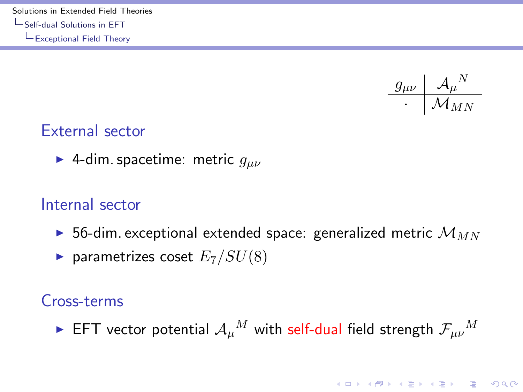[Solutions in Extended Field Theories](#page-0-0) [Self-dual Solutions in EFT](#page-21-0) [Exceptional Field Theory](#page-21-0)



#### External sector

► 4-dim. spacetime: metric  $g_{\mu\nu}$ 

#### Internal sector

- $\triangleright$  56-dim. exceptional extended space: generalized metric  $\mathcal{M}_{MN}$
- $\blacktriangleright$  parametrizes coset  $E_7/SU(8)$

#### Cross-terms

<span id="page-21-0"></span> $\blacktriangleright$  EFT vector potential  $\mathcal{A}_\mu{}^M$  with self-dual field strength  $\mathcal{F}_{\mu\nu}{}^M$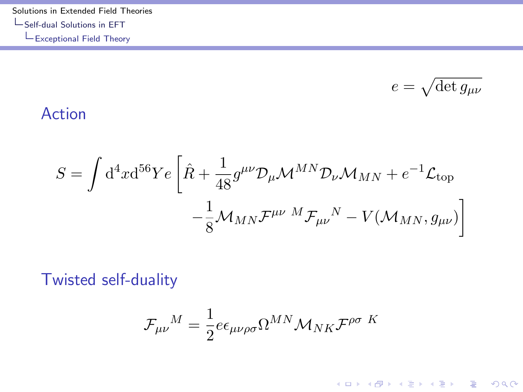[Solutions in Extended Field Theories](#page-0-0)  $\mathsf{L}\mathsf{Self}\text{-}\mathsf{dual}$  Solutions in EFT  $L_{\rm Exceptional}$  Field Theory

$$
e = \sqrt{\det g_{\mu\nu}}
$$

K ロ K K (P) K (E) K (E) X (E) X (P) K (P)

#### Action

$$
S = \int d^4x d^{56}Ye \left[ \hat{R} + \frac{1}{48} g^{\mu\nu} \mathcal{D}_{\mu} \mathcal{M}^{MN} \mathcal{D}_{\nu} \mathcal{M}_{MN} + e^{-1} \mathcal{L}_{\text{top}} \right. \\ \left. - \frac{1}{8} \mathcal{M}_{MN} \mathcal{F}^{\mu\nu}{}^{M} \mathcal{F}_{\mu\nu}{}^{N} - V(\mathcal{M}_{MN}, g_{\mu\nu}) \right]
$$

<span id="page-22-0"></span>Twisted self-duality

$$
\mathcal{F}_{\mu\nu}{}^{M} = \frac{1}{2} e \epsilon_{\mu\nu\rho\sigma} \Omega^{MN} \mathcal{M}_{NK} \mathcal{F}^{\rho\sigma}{}^{K}
$$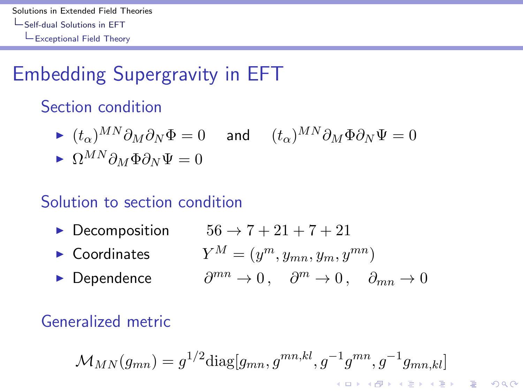# Embedding Supergravity in EFT

### Section condition

- $I (t_{\alpha})^{MN}\partial_M\partial_N\Phi = 0$  and  $(t_{\alpha})^{MN}\partial_M\Phi\partial_N\Psi = 0$
- $\bullet \ \Omega^{MN}\partial_M\Phi\partial_N\Psi=0$

#### Solution to section condition

- ▶ Decomposition  $56 \rightarrow 7 + 21 + 7 + 21$
- $\blacktriangleright$  Coordinates  $Y^M = (y^m, y_{mn}, y_m, y^{mn})$ 
	- $\partial^{mn} \to 0$ ,  $\partial^m \to 0$ ,  $\partial_{mn} \to 0$

### <span id="page-23-0"></span>Generalized metric

► Dependence

$$
\mathcal{M}_{MN}(g_{mn})=g^{1/2}\text{diag}[g_{mn},g^{mn,kl},g^{-1}g^{mn},g^{-1}g_{mn,kl}]
$$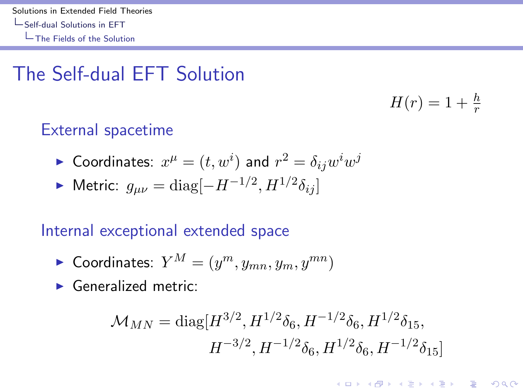# The Self-dual EFT Solution

### External spacetime

- $\blacktriangleright$  Coordinates:  $x^\mu = (t, w^i)$  and  $r^2 = \delta_{ij} w^i w^j$
- ► Metric:  $g_{\mu\nu} = \text{diag}[-H^{-1/2}, H^{1/2}\delta_{ij}]$

#### Internal exceptional extended space

- $\blacktriangleright$  Coordinates:  $Y^M = (y^m, y_{mn}, y_m, y^{mn})$
- <span id="page-24-0"></span> $\blacktriangleright$  Generalized metric:

$$
\mathcal{M}_{MN} = \text{diag}[H^{3/2}, H^{1/2}\delta_6, H^{-1/2}\delta_6, H^{1/2}\delta_{15},
$$
  

$$
H^{-3/2}, H^{-1/2}\delta_6, H^{1/2}\delta_6, H^{-1/2}\delta_{15}]
$$

 $H(r) = 1 + \frac{h}{r}$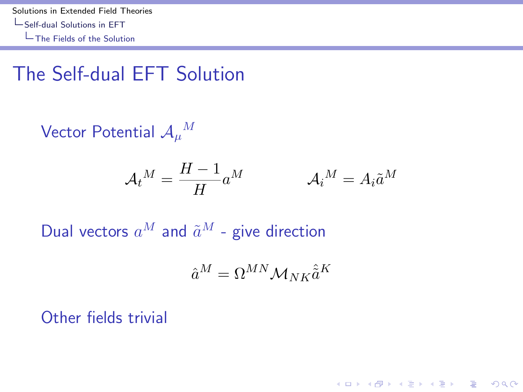## The Self-dual EFT Solution

Vector Potential  $\mathcal{A}_\mu{}^M$ 

$$
\mathcal{A}_t{}^M = \frac{H-1}{H} a^M \qquad \qquad \mathcal{A}_i{}^M = A_i \tilde{a}^M
$$

Dual vectors  $a^M$  and  $\tilde{a}^M$  - give direction

$$
\hat{a}^M = \Omega^{MN} \mathcal{M}_{NK} \hat{\tilde{a}}^K
$$

**KORK ERKER ADE YOUR** 

<span id="page-25-0"></span>Other fields trivial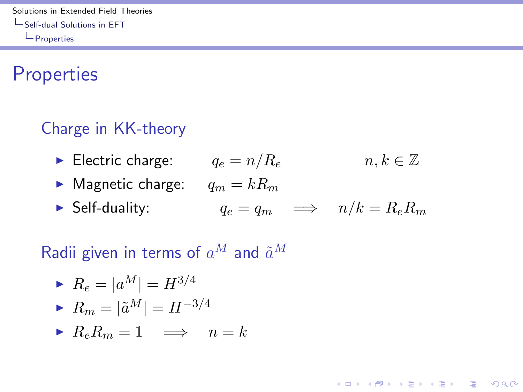[Solutions in Extended Field Theories](#page-0-0) [Self-dual Solutions in EFT](#page-26-0) **L**[Properties](#page-26-0)

### **Properties**

### Charge in KK-theory

- ► Electric charge:  $q_e = n/R_e$   $n, k \in \mathbb{Z}$
- $\blacktriangleright$  Magnetic charge:  $q_m = kR_m$
- ► Self-duality:  $q_e = q_m$   $\implies$   $n/k = R_e R_m$

**KORK ERKER ADE YOUR** 

### Radii given in terms of  $a^M$  and  $\tilde{a}^M$

<span id="page-26-0"></span>
$$
R_e = |a^M| = H^{3/4}
$$
  
\n
$$
R_m = |\tilde{a}^M| = H^{-3/4}
$$
  
\n
$$
R_e R_m = 1 \implies n = k
$$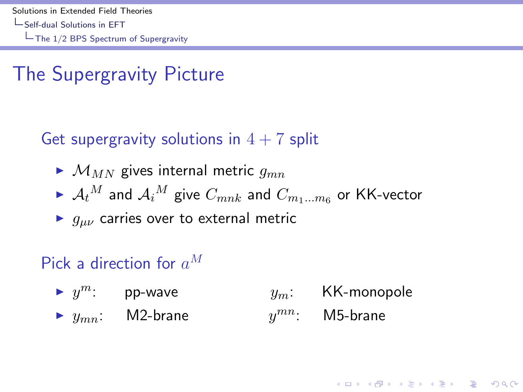## The Supergravity Picture

### Get supergravity solutions in  $4 + 7$  split

- $\blacktriangleright$   $\mathcal{M}_{MN}$  gives internal metric  $g_{mn}$
- $\blacktriangleright$   $\mathcal{A}_t{}^M$  and  $\mathcal{A}_i{}^M$  give  $C_{mnk}$  and  $C_{m_1...m_6}$  or KK-vector
- $\blacktriangleright$   $g_{\mu\nu}$  carries over to external metric

### Pick a direction for  $a^M$

<span id="page-27-0"></span> $y^m$ : pp-wave  $y_m$ : KK-monopole  $\blacktriangleright$   $y_{mn}$ : M2-brane  $y^{mn}$ : M5-brane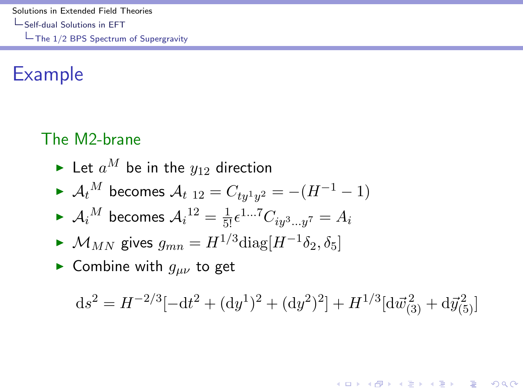[Solutions in Extended Field Theories](#page-0-0) [Self-dual Solutions in EFT](#page-28-0) [The 1/2 BPS Spectrum of Supergravity](#page-28-0)

## Example

### The M2-brane

- Elet  $a^M$  be in the  $y_{12}$  direction
- $\blacktriangleright$   $\mathcal{A}_t{}^M$  becomes  $\mathcal{A}_{t-12} = C_{ty^1y^2} = -(H^{-1} 1)$
- $\blacktriangleright$   ${\mathcal{A}_i}^M$  becomes  ${\mathcal{A}_i}^{12} = \frac{1}{5!} \epsilon^{1...7} C_{i y^3 ... y^7} = A_i$
- $\blacktriangleright$   $\mathcal{M}_{MN}$  gives  $g_{mn} = H^{1/3} \text{diag}[H^{-1} \delta_2, \delta_5]$
- ► Combine with  $q_{\mu\nu}$  to get

<span id="page-28-0"></span>
$$
\mathrm{d} s^2 = H^{-2/3}[-\mathrm{d} t^2 + (\mathrm{d} y^1)^2 + (\mathrm{d} y^2)^2] + H^{1/3}[\mathrm{d} \vec{w}_{(3)}^{\, 2} + \mathrm{d} \vec{y}_{(5)}^2]
$$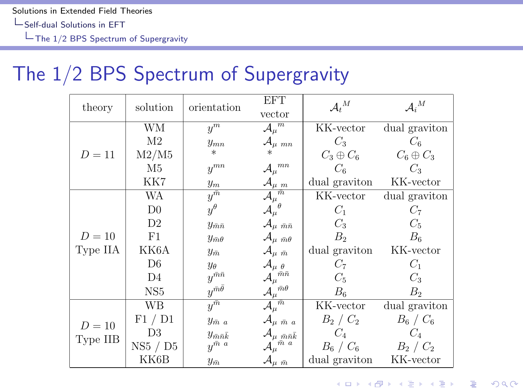## The 1/2 BPS Spectrum of Supergravity

<span id="page-29-0"></span>

| theory             | solution        | orientation                 | <b>EFT</b>                              | $\mathcal{A}_{t}{}^{M}$ | $\mathcal{A}_i{}^M$ |
|--------------------|-----------------|-----------------------------|-----------------------------------------|-------------------------|---------------------|
|                    |                 |                             | vector                                  |                         |                     |
| $D=11$             | WМ              | $y^m$                       | $\mathcal{A}^{\overline{m}}_{\mu}$      | KK-vector               | dual graviton       |
|                    | M <sub>2</sub>  | $y_{mn}$                    | $\mathcal{A}_{\mu \ mn}$                | $C_3$                   | $C_6$               |
|                    | M2/M5           | $\ast$                      |                                         | $C_3 \oplus C_6$        | $C_6 \oplus C_3$    |
|                    | M5              | $y^{mn}$                    | ${\cal A}_\mu{}^{mn}$                   | C <sub>6</sub>          | $C_3$               |
|                    | KK7             | $y_m$                       | $\mathcal{A}_{\mu\;\;m}$                | dual graviton           | KK-vector           |
| $D=10$<br>Type IIA | WA              | $y^{\bar{m}}$               | $\overline{{\cal A}_{\mu}}^{\bar{m}}$   | KK-vector               | dual graviton       |
|                    | D <sub>0</sub>  | $y^{\theta}$                | $\mathcal{A}_\mu^{\;\;\theta}$          | $C_1$                   | $C_7$               |
|                    | D <sub>2</sub>  | $y_{\bar{m}\bar{n}}$        | ${\cal A}_{\mu\; \bar{m}\bar{n}}$       | $C_3$                   | $C_5$               |
|                    | F1              | $y_{\bar{m}\theta}$         | $\mathcal{A}_{\mu \ \bar{m}\theta}$     | B <sub>2</sub>          | $B_6$               |
|                    | KK6A            | $y_{\bar{m}}$               | $\mathcal{A}_{\mu\,\, \bar{m}}$         | dual graviton           | KK-vector           |
|                    | D6              | $y_{\theta}$                | $\mathcal{A}_{\mu\;\theta}$             | $C_7$                   | $C_1$               |
|                    | D <sub>4</sub>  | $y^{\bar{m}\bar{n}}$        | ${\cal A}_\mu{}^{\bar{m}\bar{n}}$       | $C_5$                   | $C_3$               |
|                    | NS <sub>5</sub> | $u^{\bar{m}\bar{\theta}}$   | $\mathcal{A}_\mu{}^{\bar{m}\theta}$     | $B_6$                   | B <sub>2</sub>      |
| $D=10$<br>Type IIB | WВ              | $\overline{u^m}$            | $\overline{{\cal A}_{\mu}}^{\bar{m}}$   | KK-vector               | dual graviton       |
|                    | F1 / D1         | $y_{\bar{m} a}$             | $\mathcal{A}_{\mu \bar{m} a}$           | $B_2 \, / \, C_2$       | $B_6 \, / \, C_6$   |
|                    | D <sub>3</sub>  | $y_{\bar{m}\bar{n}\bar{k}}$ | ${\cal A}_{\mu\ \bar{m}\bar{n}\bar{k}}$ | $C_4$                   | $C_4$               |
|                    | NS5 / D5        | $u^{\bar{m} \, a}$          | ${\cal A}_\mu{}^{\bar m\,\,a}$          | $B_6 \, / \, C_6$       | $B_2 \, / \, C_2$   |
|                    | KK6B            | $y_{\bar{m}}$               | $\mathcal{A}_{\mu\,\, \bar{m}}$         | dual graviton           | KK-vector           |

K ロ ▶ K @ ▶ K 할 > K 할 > 1 할 > 1 이익어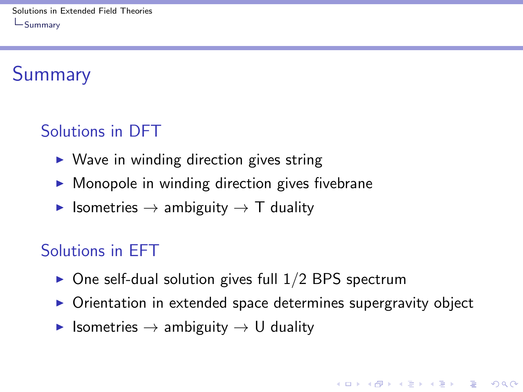# Summary

## Solutions in DFT

- $\triangleright$  Wave in winding direction gives string
- $\triangleright$  Monopole in winding direction gives fivebrane
- $\triangleright$  Isometries  $\rightarrow$  ambiguity  $\rightarrow$  T duality

### Solutions in EFT

- $\triangleright$  One self-dual solution gives full 1/2 BPS spectrum
- $\triangleright$  Orientation in extended space determines supergravity object

**KORK ERKER ADE YOUR** 

<span id="page-30-0"></span> $\triangleright$  Isometries  $\rightarrow$  ambiguity  $\rightarrow$  U duality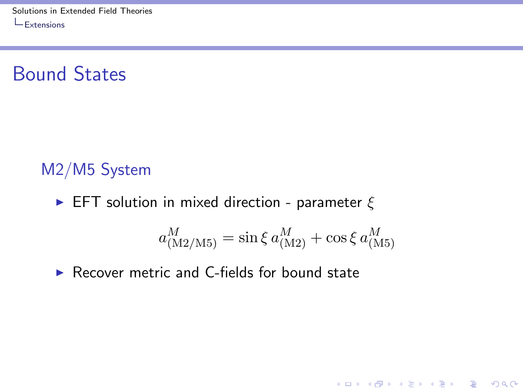## Bound States

### M2/M5 System

**EFT** solution in mixed direction - parameter  $\xi$ 

$$
a^M_{\rm (M2/M5)}=\sin \xi\, a^M_{\rm (M2)}+\cos \xi\, a^M_{\rm (M5)}
$$

K ロ ▶ K @ ▶ K 할 ▶ K 할 ▶ | 할 | © 9 Q @

<span id="page-31-0"></span> $\triangleright$  Recover metric and C-fields for bound state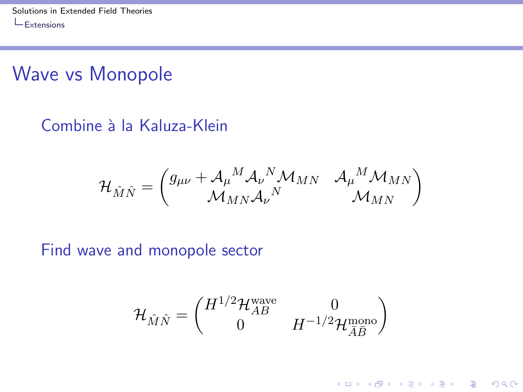## Wave vs Monopole

#### Combine à la Kaluza-Klein

$$
\mathcal{H}_{\hat{M}\hat{N}}=\begin{pmatrix}g_{\mu\nu}+\mathcal{A}_\mu{}^M\mathcal{A}_\nu{}^N\mathcal{M}_{MN} & \mathcal{A}_\mu{}^M\mathcal{M}_{MN} \\\mathcal{M}_{MN}\mathcal{A}_\nu{}^N & \mathcal{M}_{MN} \end{pmatrix}
$$

#### <span id="page-32-0"></span>Find wave and monopole sector

$$
\mathcal{H}_{\hat{M}\hat{N}} = \begin{pmatrix} H^{1/2} \mathcal{H}_{AB}^{\text{wave}} & 0\\ 0 & H^{-1/2} \mathcal{H}_{\bar{A}\bar{B}}^{\text{mono}} \end{pmatrix}
$$

K ロ ▶ K @ ▶ K 할 ▶ K 할 ▶ | 할 | © 9 Q @